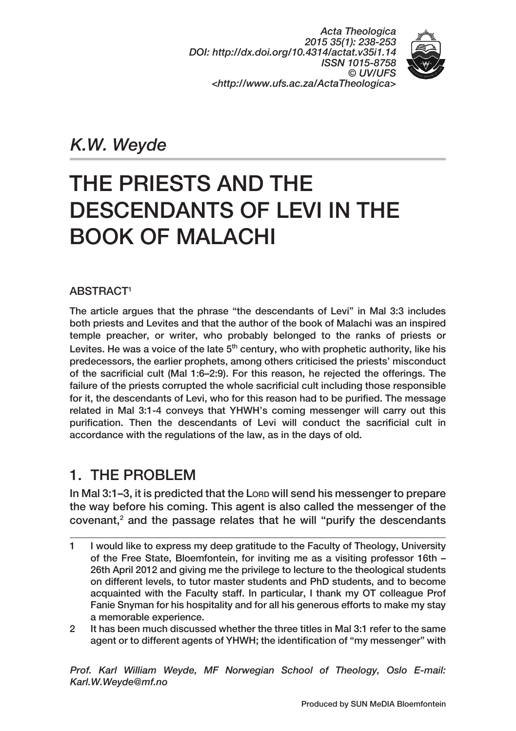*Acta Theologica 2015 35(1): 238‑253 DOI: http://dx.doi.org/10.4314/actat.v35i1.14 ISSN 1015‑8758 © UV/UFS <http://www.ufs.ac.za/ActaTheologica>*



*K.W. Weyde*

# THE PRIESTS AND THE DESCENDANTS OF LEVI IN THE BOOK OF MALACHI

### ABSTRACT1

The article argues that the phrase "the descendants of Levi" in Mal 3:3 includes both priests and Levites and that the author of the book of Malachi was an inspired temple preacher, or writer, who probably belonged to the ranks of priests or Levites. He was a voice of the late  $5<sup>th</sup>$  century, who with prophetic authority, like his predecessors, the earlier prophets, among others criticised the priests' misconduct of the sacrificial cult (Mal 1:6–2:9). For this reason, he rejected the offerings. The failure of the priests corrupted the whole sacrificial cult including those responsible for it, the descendants of Levi, who for this reason had to be purified. The message related in Mal 3:1‑4 conveys that YHWH's coming messenger will carry out this purification. Then the descendants of Levi will conduct the sacrificial cult in accordance with the regulations of the law, as in the days of old.

## 1. THE PROBLEM

In Mal 3:1–3, it is predicted that the Lorp will send his messenger to prepare the way before his coming. This agent is also called the messenger of the covenant,<sup>2</sup> and the passage relates that he will "purify the descendants

2 It has been much discussed whether the three titles in Mal 3:1 refer to the same agent or to different agents of YHWH; the identification of "my messenger" with

*Prof. Karl William Weyde, MF Norwegian School of Theology, Oslo E‑mail: Karl.W.Weyde@mf.no*

<sup>1</sup> I would like to express my deep gratitude to the Faculty of Theology, University of the Free State, Bloemfontein, for inviting me as a visiting professor 16th – 26th April 2012 and giving me the privilege to lecture to the theological students on different levels, to tutor master students and PhD students, and to become acquainted with the Faculty staff. In particular, I thank my OT colleague Prof Fanie Snyman for his hospitality and for all his generous efforts to make my stay a memorable experience.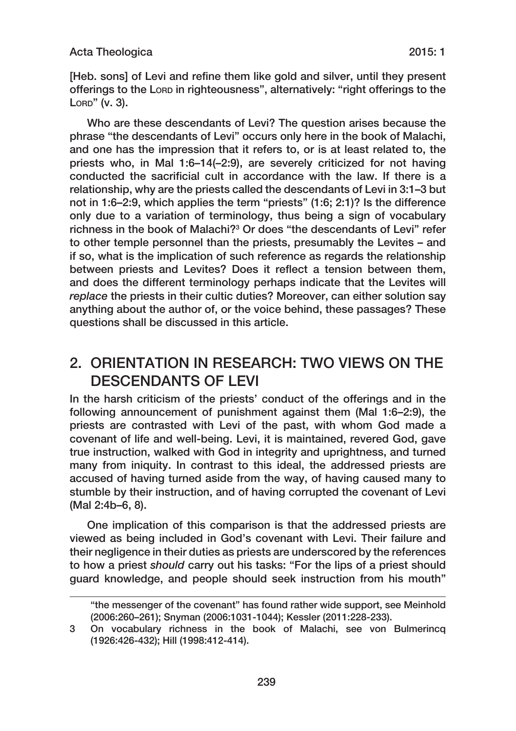[Heb. sons] of Levi and refine them like gold and silver, until they present offerings to the Lorp in righteousness", alternatively: "right offerings to the Lord" (v. 3).

Who are these descendants of Levi? The question arises because the phrase "the descendants of Levi" occurs only here in the book of Malachi, and one has the impression that it refers to, or is at least related to, the priests who, in Mal 1:6–14(–2:9), are severely criticized for not having conducted the sacrificial cult in accordance with the law. If there is a relationship, why are the priests called the descendants of Levi in 3:1–3 but not in 1:6–2:9, which applies the term "priests" (1:6; 2:1)? Is the difference only due to a variation of terminology, thus being a sign of vocabulary richness in the book of Malachi?3 Or does "the descendants of Levi" refer to other temple personnel than the priests, presumably the Levites – and if so, what is the implication of such reference as regards the relationship between priests and Levites? Does it reflect a tension between them, and does the different terminology perhaps indicate that the Levites will *replace* the priests in their cultic duties? Moreover, can either solution say anything about the author of, or the voice behind, these passages? These questions shall be discussed in this article.

## 2. ORIENTATION IN RESEARCH: TWO VIEWS ON THE DESCENDANTS OF LEVI

In the harsh criticism of the priests' conduct of the offerings and in the following announcement of punishment against them (Mal 1:6–2:9), the priests are contrasted with Levi of the past, with whom God made a covenant of life and well-being. Levi, it is maintained, revered God, gave true instruction, walked with God in integrity and uprightness, and turned many from iniquity. In contrast to this ideal, the addressed priests are accused of having turned aside from the way, of having caused many to stumble by their instruction, and of having corrupted the covenant of Levi (Mal 2:4b–6, 8).

One implication of this comparison is that the addressed priests are viewed as being included in God's covenant with Levi. Their failure and their negligence in their duties as priests are underscored by the references to how a priest *should* carry out his tasks: "For the lips of a priest should guard knowledge, and people should seek instruction from his mouth"

<sup>&</sup>quot;the messenger of the covenant" has found rather wide support, see Meinhold (2006:260–261); Snyman (2006:1031‑1044); Kessler (2011:228‑233).

<sup>3</sup> On vocabulary richness in the book of Malachi, see von Bulmerincq (1926:426‑432); Hill (1998:412‑414).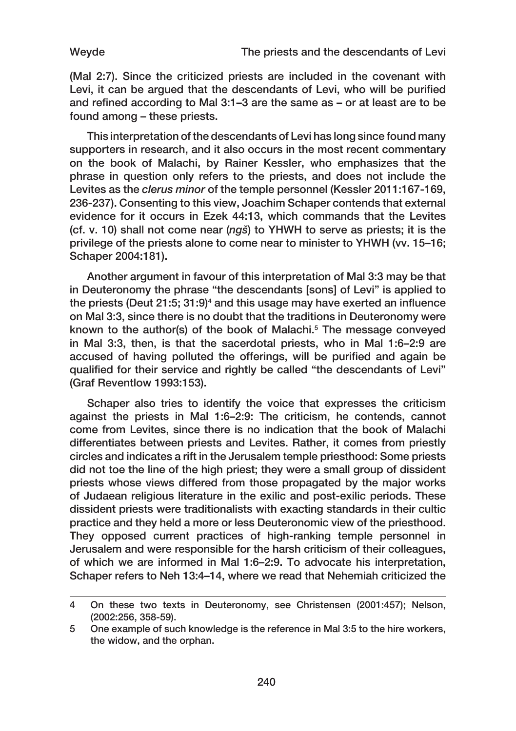(Mal 2:7). Since the criticized priests are included in the covenant with Levi, it can be argued that the descendants of Levi, who will be purified and refined according to Mal 3:1–3 are the same as – or at least are to be found among – these priests.

This interpretation of the descendants of Levi has long since found many supporters in research, and it also occurs in the most recent commentary on the book of Malachi, by Rainer Kessler, who emphasizes that the phrase in question only refers to the priests, and does not include the Levites as the *clerus minor* of the temple personnel (Kessler 2011:167-169, 236‑237). Consenting to this view, Joachim Schaper contends that external evidence for it occurs in Ezek 44:13, which commands that the Levites (cf. v. 10) shall not come near (*ngš*) to YHWH to serve as priests; it is the privilege of the priests alone to come near to minister to YHWH (vv. 15–16; Schaper 2004:181).

Another argument in favour of this interpretation of Mal 3:3 may be that in Deuteronomy the phrase "the descendants [sons] of Levi" is applied to the priests (Deut 21:5; 31:9)4 and this usage may have exerted an influence on Mal 3:3, since there is no doubt that the traditions in Deuteronomy were known to the author(s) of the book of Malachi.<sup>5</sup> The message conveyed in Mal 3:3, then, is that the sacerdotal priests, who in Mal 1:6–2:9 are accused of having polluted the offerings, will be purified and again be qualified for their service and rightly be called "the descendants of Levi" (Graf Reventlow 1993:153).

Schaper also tries to identify the voice that expresses the criticism against the priests in Mal 1:6–2:9: The criticism, he contends, cannot come from Levites, since there is no indication that the book of Malachi differentiates between priests and Levites. Rather, it comes from priestly circles and indicates a rift in the Jerusalem temple priesthood: Some priests did not toe the line of the high priest; they were a small group of dissident priests whose views differed from those propagated by the major works of Judaean religious literature in the exilic and post-exilic periods. These dissident priests were traditionalists with exacting standards in their cultic practice and they held a more or less Deuteronomic view of the priesthood. They opposed current practices of high-ranking temple personnel in Jerusalem and were responsible for the harsh criticism of their colleagues, of which we are informed in Mal 1:6–2:9. To advocate his interpretation, Schaper refers to Neh 13:4–14, where we read that Nehemiah criticized the

<sup>4</sup> On these two texts in Deuteronomy, see Christensen (2001:457); Nelson, (2002:256, 358‑59).

<sup>5</sup> One example of such knowledge is the reference in Mal 3:5 to the hire workers, the widow, and the orphan.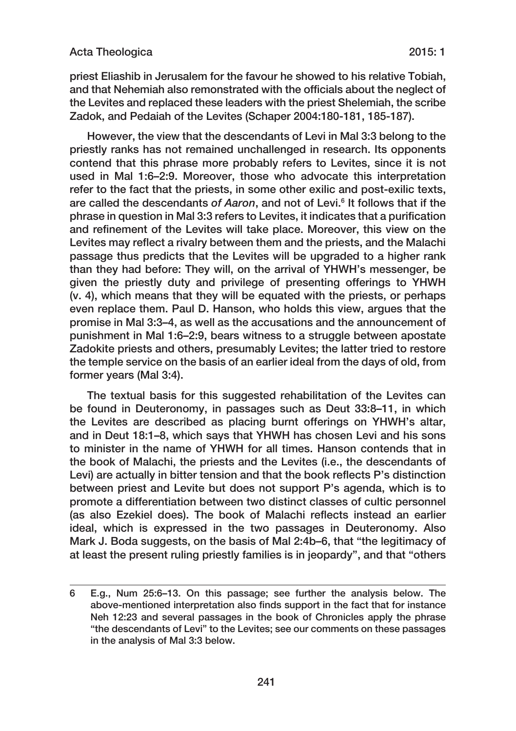priest Eliashib in Jerusalem for the favour he showed to his relative Tobiah, and that Nehemiah also remonstrated with the officials about the neglect of the Levites and replaced these leaders with the priest Shelemiah, the scribe Zadok, and Pedaiah of the Levites (Schaper 2004:180-181, 185-187).

However, the view that the descendants of Levi in Mal 3:3 belong to the priestly ranks has not remained unchallenged in research. Its opponents contend that this phrase more probably refers to Levites, since it is not used in Mal 1:6–2:9. Moreover, those who advocate this interpretation refer to the fact that the priests, in some other exilic and post-exilic texts, are called the descendants *of Aaron*, and not of Levi.<sup>6</sup> It follows that if the phrase in question in Mal 3:3 refers to Levites, it indicates that a purification and refinement of the Levites will take place. Moreover, this view on the Levites may reflect a rivalry between them and the priests, and the Malachi passage thus predicts that the Levites will be upgraded to a higher rank than they had before: They will, on the arrival of YHWH's messenger, be given the priestly duty and privilege of presenting offerings to YHWH (v. 4), which means that they will be equated with the priests, or perhaps even replace them. Paul D. Hanson, who holds this view, argues that the promise in Mal 3:3–4, as well as the accusations and the announcement of punishment in Mal 1:6–2:9, bears witness to a struggle between apostate Zadokite priests and others, presumably Levites; the latter tried to restore the temple service on the basis of an earlier ideal from the days of old, from former years (Mal 3:4).

The textual basis for this suggested rehabilitation of the Levites can be found in Deuteronomy, in passages such as Deut 33:8–11, in which the Levites are described as placing burnt offerings on YHWH's altar, and in Deut 18:1–8, which says that YHWH has chosen Levi and his sons to minister in the name of YHWH for all times. Hanson contends that in the book of Malachi, the priests and the Levites (i.e., the descendants of Levi) are actually in bitter tension and that the book reflects P's distinction between priest and Levite but does not support P's agenda, which is to promote a differentiation between two distinct classes of cultic personnel (as also Ezekiel does). The book of Malachi reflects instead an earlier ideal, which is expressed in the two passages in Deuteronomy. Also Mark J. Boda suggests, on the basis of Mal 2:4b–6, that "the legitimacy of at least the present ruling priestly families is in jeopardy", and that "others

<sup>6</sup> E.g., Num 25:6–13. On this passage; see further the analysis below. The above‑mentioned interpretation also finds support in the fact that for instance Neh 12:23 and several passages in the book of Chronicles apply the phrase "the descendants of Levi" to the Levites; see our comments on these passages in the analysis of Mal 3:3 below.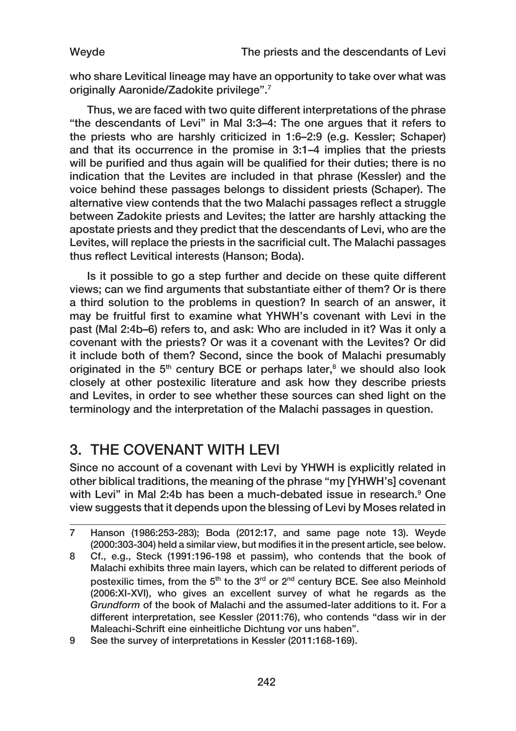who share Levitical lineage may have an opportunity to take over what was originally Aaronide/Zadokite privilege".<sup>7</sup>

Thus, we are faced with two quite different interpretations of the phrase "the descendants of Levi" in Mal 3:3–4: The one argues that it refers to the priests who are harshly criticized in 1:6–2:9 (e.g. Kessler; Schaper) and that its occurrence in the promise in 3:1–4 implies that the priests will be purified and thus again will be qualified for their duties; there is no indication that the Levites are included in that phrase (Kessler) and the voice behind these passages belongs to dissident priests (Schaper). The alternative view contends that the two Malachi passages reflect a struggle between Zadokite priests and Levites; the latter are harshly attacking the apostate priests and they predict that the descendants of Levi, who are the Levites, will replace the priests in the sacrificial cult. The Malachi passages thus reflect Levitical interests (Hanson; Boda).

Is it possible to go a step further and decide on these quite different views; can we find arguments that substantiate either of them? Or is there a third solution to the problems in question? In search of an answer, it may be fruitful first to examine what YHWH's covenant with Levi in the past (Mal 2:4b–6) refers to, and ask: Who are included in it? Was it only a covenant with the priests? Or was it a covenant with the Levites? Or did it include both of them? Second, since the book of Malachi presumably originated in the  $5<sup>th</sup>$  century BCE or perhaps later, $8$  we should also look closely at other postexilic literature and ask how they describe priests and Levites, in order to see whether these sources can shed light on the terminology and the interpretation of the Malachi passages in question.

## 3. THE COVENANT WITH LEVI

Since no account of a covenant with Levi by YHWH is explicitly related in other biblical traditions, the meaning of the phrase "my [YHWH's] covenant with Levi" in Mal 2:4b has been a much-debated issue in research.<sup>9</sup> One view suggests that it depends upon the blessing of Levi by Moses related in

- 7 Hanson (1986:253‑283); Boda (2012:17, and same page note 13). Weyde (2000:303‑304) held a similar view, but modifies it in the present article, see below.
- 8 Cf., e.g., Steck (1991:196-198 et passim), who contends that the book of Malachi exhibits three main layers, which can be related to different periods of postexilic times, from the  $5<sup>th</sup>$  to the  $3<sup>rd</sup>$  or  $2<sup>nd</sup>$  century BCE. See also Meinhold (2006:XI‑XVI), who gives an excellent survey of what he regards as the *Grundform* of the book of Malachi and the assumed‑later additions to it. For a different interpretation, see Kessler (2011:76), who contends "dass wir in der Maleachi‑Schrift eine einheitliche Dichtung vor uns haben".
- 9 See the survey of interpretations in Kessler (2011:168-169).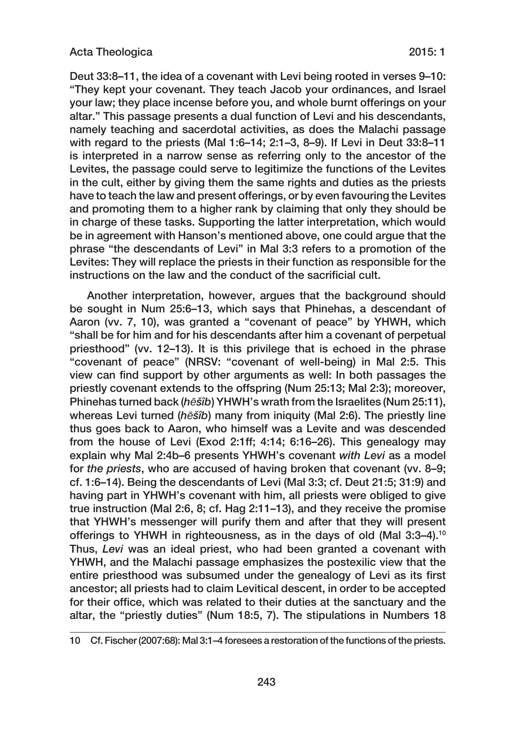Deut 33:8–11, the idea of a covenant with Levi being rooted in verses 9–10: "They kept your covenant. They teach Jacob your ordinances, and Israel your law; they place incense before you, and whole burnt offerings on your altar." This passage presents a dual function of Levi and his descendants, namely teaching and sacerdotal activities, as does the Malachi passage with regard to the priests (Mal 1:6–14; 2:1–3, 8–9). If Levi in Deut 33:8–11 is interpreted in a narrow sense as referring only to the ancestor of the Levites, the passage could serve to legitimize the functions of the Levites in the cult, either by giving them the same rights and duties as the priests have to teach the law and present offerings, or by even favouring the Levites and promoting them to a higher rank by claiming that only they should be in charge of these tasks. Supporting the latter interpretation, which would be in agreement with Hanson's mentioned above, one could argue that the phrase "the descendants of Levi" in Mal 3:3 refers to a promotion of the Levites: They will replace the priests in their function as responsible for the instructions on the law and the conduct of the sacrificial cult.

Another interpretation, however, argues that the background should be sought in Num 25:6–13, which says that Phinehas, a descendant of Aaron (vv. 7, 10), was granted a "covenant of peace" by YHWH, which "shall be for him and for his descendants after him a covenant of perpetual priesthood" (vv. 12–13). It is this privilege that is echoed in the phrase "covenant of peace" (NRSV: "covenant of well‑being) in Mal 2:5. This view can find support by other arguments as well: In both passages the priestly covenant extends to the offspring (Num 25:13; Mal 2:3); moreover, Phinehas turned back (*hēšîb*) YHWH's wrath from the Israelites (Num 25:11), whereas Levi turned (*hēšîb*) many from iniquity (Mal 2:6). The priestly line thus goes back to Aaron, who himself was a Levite and was descended from the house of Levi (Exod 2:1ff; 4:14; 6:16–26). This genealogy may explain why Mal 2:4b–6 presents YHWH's covenant *with Levi* as a model for *the priests*, who are accused of having broken that covenant (vv. 8–9; cf. 1:6–14). Being the descendants of Levi (Mal 3:3; cf. Deut 21:5; 31:9) and having part in YHWH's covenant with him, all priests were obliged to give true instruction (Mal 2:6, 8; cf. Hag 2:11–13), and they receive the promise that YHWH's messenger will purify them and after that they will present offerings to YHWH in righteousness, as in the days of old (Mal 3:3–4).10 Thus, *Levi* was an ideal priest, who had been granted a covenant with YHWH, and the Malachi passage emphasizes the postexilic view that the entire priesthood was subsumed under the genealogy of Levi as its first ancestor; all priests had to claim Levitical descent, in order to be accepted for their office, which was related to their duties at the sanctuary and the altar, the "priestly duties" (Num 18:5, 7). The stipulations in Numbers 18

<sup>10</sup> Cf. Fischer (2007:68): Mal 3:1–4 foresees a restoration of the functions of the priests.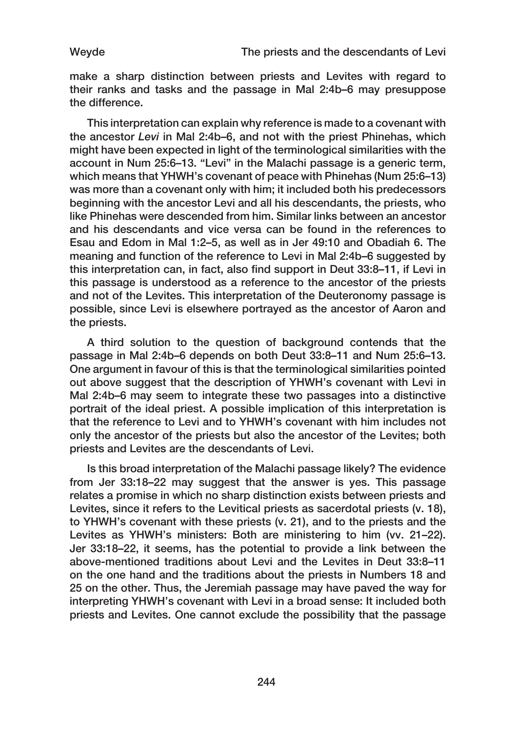make a sharp distinction between priests and Levites with regard to their ranks and tasks and the passage in Mal 2:4b–6 may presuppose the difference.

This interpretation can explain why reference is made to a covenant with the ancestor *Levi* in Mal 2:4b–6, and not with the priest Phinehas, which might have been expected in light of the terminological similarities with the account in Num 25:6–13. "Levi" in the Malachi passage is a generic term, which means that YHWH's covenant of peace with Phinehas (Num 25:6–13) was more than a covenant only with him; it included both his predecessors beginning with the ancestor Levi and all his descendants, the priests, who like Phinehas were descended from him. Similar links between an ancestor and his descendants and vice versa can be found in the references to Esau and Edom in Mal 1:2–5, as well as in Jer 49:10 and Obadiah 6. The meaning and function of the reference to Levi in Mal 2:4b–6 suggested by this interpretation can, in fact, also find support in Deut 33:8–11, if Levi in this passage is understood as a reference to the ancestor of the priests and not of the Levites. This interpretation of the Deuteronomy passage is possible, since Levi is elsewhere portrayed as the ancestor of Aaron and the priests.

A third solution to the question of background contends that the passage in Mal 2:4b–6 depends on both Deut 33:8–11 and Num 25:6–13. One argument in favour of this is that the terminological similarities pointed out above suggest that the description of YHWH's covenant with Levi in Mal 2:4b–6 may seem to integrate these two passages into a distinctive portrait of the ideal priest. A possible implication of this interpretation is that the reference to Levi and to YHWH's covenant with him includes not only the ancestor of the priests but also the ancestor of the Levites; both priests and Levites are the descendants of Levi.

Is this broad interpretation of the Malachi passage likely? The evidence from Jer 33:18–22 may suggest that the answer is yes. This passage relates a promise in which no sharp distinction exists between priests and Levites, since it refers to the Levitical priests as sacerdotal priests (v. 18), to YHWH's covenant with these priests (v. 21), and to the priests and the Levites as YHWH's ministers: Both are ministering to him (vv. 21–22). Jer 33:18–22, it seems, has the potential to provide a link between the above‑mentioned traditions about Levi and the Levites in Deut 33:8–11 on the one hand and the traditions about the priests in Numbers 18 and 25 on the other. Thus, the Jeremiah passage may have paved the way for interpreting YHWH's covenant with Levi in a broad sense: It included both priests and Levites. One cannot exclude the possibility that the passage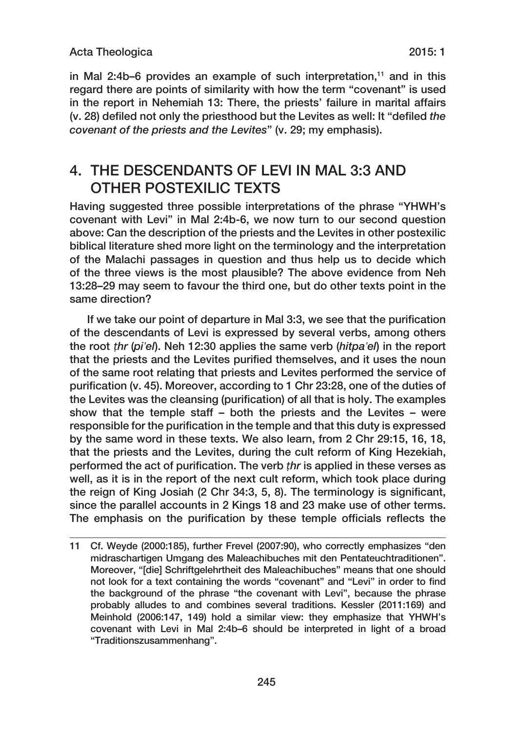in Mal 2:4b–6 provides an example of such interpretation,<sup>11</sup> and in this regard there are points of similarity with how the term "covenant" is used in the report in Nehemiah 13: There, the priests' failure in marital affairs (v. 28) defiled not only the priesthood but the Levites as well: It "defiled *the covenant of the priests and the Levites*" (v. 29; my emphasis).

## 4. THE DESCENDANTS OF LEVI IN MAL 3:3 AND OTHER POSTEXILIC TEXTS

Having suggested three possible interpretations of the phrase "YHWH's covenant with Levi" in Mal 2:4b‑6, we now turn to our second question above: Can the description of the priests and the Levites in other postexilic biblical literature shed more light on the terminology and the interpretation of the Malachi passages in question and thus help us to decide which of the three views is the most plausible? The above evidence from Neh 13:28–29 may seem to favour the third one, but do other texts point in the same direction?

If we take our point of departure in Mal 3:3, we see that the purification of the descendants of Levi is expressed by several verbs, among others the root *ṭhr* (*pi'el*). Neh 12:30 applies the same verb (*hitpa'el*) in the report that the priests and the Levites purified themselves, and it uses the noun of the same root relating that priests and Levites performed the service of purification (v. 45). Moreover, according to 1 Chr 23:28, one of the duties of the Levites was the cleansing (purification) of all that is holy. The examples show that the temple staff – both the priests and the Levites – were responsible for the purification in the temple and that this duty is expressed by the same word in these texts. We also learn, from 2 Chr 29:15, 16, 18, that the priests and the Levites, during the cult reform of King Hezekiah, performed the act of purification. The verb *ṭhr* is applied in these verses as well, as it is in the report of the next cult reform, which took place during the reign of King Josiah (2 Chr 34:3, 5, 8). The terminology is significant, since the parallel accounts in 2 Kings 18 and 23 make use of other terms. The emphasis on the purification by these temple officials reflects the

<sup>11</sup> Cf. Weyde (2000:185), further Frevel (2007:90), who correctly emphasizes "den midraschartigen Umgang des Maleachibuches mit den Pentateuchtraditionen". Moreover, "[die] Schriftgelehrtheit des Maleachibuches" means that one should not look for a text containing the words "covenant" and "Levi" in order to find the background of the phrase "the covenant with Levi", because the phrase probably alludes to and combines several traditions. Kessler (2011:169) and Meinhold (2006:147, 149) hold a similar view: they emphasize that YHWH's covenant with Levi in Mal 2:4b–6 should be interpreted in light of a broad "Traditionszusammenhang".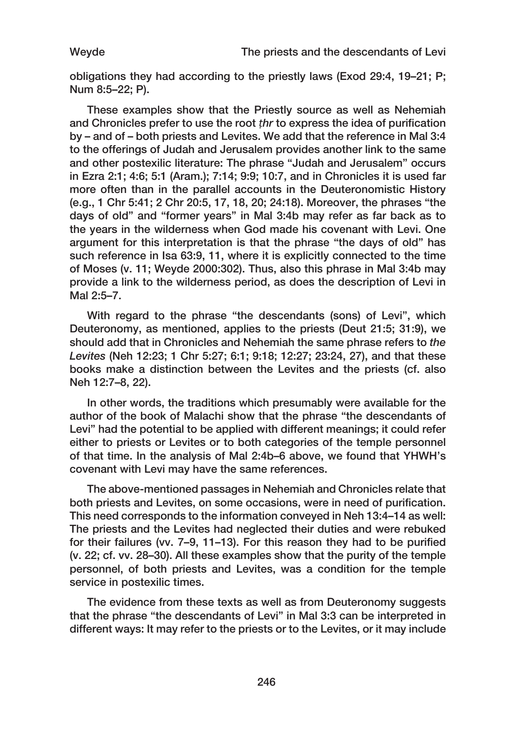obligations they had according to the priestly laws (Exod 29:4, 19–21; P; Num 8:5–22; P).

These examples show that the Priestly source as well as Nehemiah and Chronicles prefer to use the root *ṭhr* to express the idea of purification by – and of – both priests and Levites. We add that the reference in Mal 3:4 to the offerings of Judah and Jerusalem provides another link to the same and other postexilic literature: The phrase "Judah and Jerusalem" occurs in Ezra 2:1; 4:6; 5:1 (Aram.); 7:14; 9:9; 10:7, and in Chronicles it is used far more often than in the parallel accounts in the Deuteronomistic History (e.g., 1 Chr 5:41; 2 Chr 20:5, 17, 18, 20; 24:18). Moreover, the phrases "the days of old" and "former years" in Mal 3:4b may refer as far back as to the years in the wilderness when God made his covenant with Levi. One argument for this interpretation is that the phrase "the days of old" has such reference in Isa 63:9, 11, where it is explicitly connected to the time of Moses (v. 11; Weyde 2000:302). Thus, also this phrase in Mal 3:4b may provide a link to the wilderness period, as does the description of Levi in Mal 2:5–7.

With regard to the phrase "the descendants (sons) of Levi", which Deuteronomy, as mentioned, applies to the priests (Deut 21:5; 31:9), we should add that in Chronicles and Nehemiah the same phrase refers to *the Levites* (Neh 12:23; 1 Chr 5:27; 6:1; 9:18; 12:27; 23:24, 27), and that these books make a distinction between the Levites and the priests (cf. also Neh 12:7–8, 22).

In other words, the traditions which presumably were available for the author of the book of Malachi show that the phrase "the descendants of Levi" had the potential to be applied with different meanings; it could refer either to priests or Levites or to both categories of the temple personnel of that time. In the analysis of Mal 2:4b–6 above, we found that YHWH's covenant with Levi may have the same references.

The above‑mentioned passages in Nehemiah and Chronicles relate that both priests and Levites, on some occasions, were in need of purification. This need corresponds to the information conveyed in Neh 13:4–14 as well: The priests and the Levites had neglected their duties and were rebuked for their failures (vv. 7–9, 11–13). For this reason they had to be purified (v. 22; cf. vv. 28–30). All these examples show that the purity of the temple personnel, of both priests and Levites, was a condition for the temple service in postexilic times.

The evidence from these texts as well as from Deuteronomy suggests that the phrase "the descendants of Levi" in Mal 3:3 can be interpreted in different ways: It may refer to the priests or to the Levites, or it may include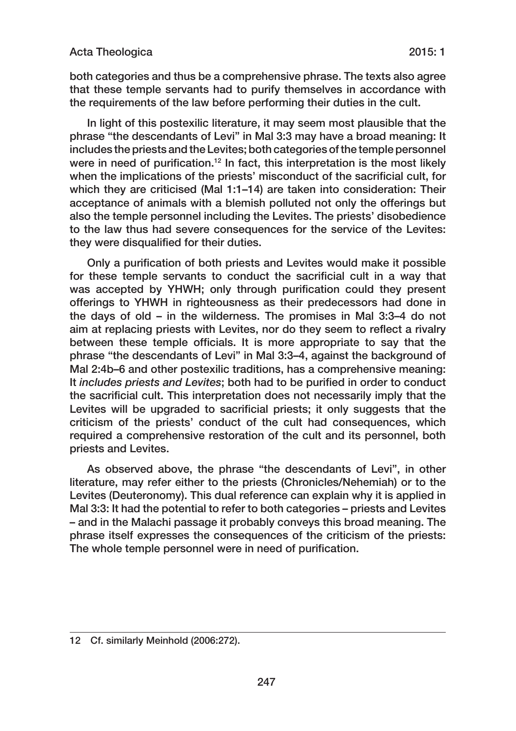both categories and thus be a comprehensive phrase. The texts also agree that these temple servants had to purify themselves in accordance with the requirements of the law before performing their duties in the cult.

In light of this postexilic literature, it may seem most plausible that the phrase "the descendants of Levi" in Mal 3:3 may have a broad meaning: It includes the priests and the Levites; both categories of the temple personnel were in need of purification.<sup>12</sup> In fact, this interpretation is the most likely when the implications of the priests' misconduct of the sacrificial cult, for which they are criticised (Mal 1:1–14) are taken into consideration: Their acceptance of animals with a blemish polluted not only the offerings but also the temple personnel including the Levites. The priests' disobedience to the law thus had severe consequences for the service of the Levites: they were disqualified for their duties.

Only a purification of both priests and Levites would make it possible for these temple servants to conduct the sacrificial cult in a way that was accepted by YHWH; only through purification could they present offerings to YHWH in righteousness as their predecessors had done in the days of old – in the wilderness. The promises in Mal 3:3–4 do not aim at replacing priests with Levites, nor do they seem to reflect a rivalry between these temple officials. It is more appropriate to say that the phrase "the descendants of Levi" in Mal 3:3–4, against the background of Mal 2:4b–6 and other postexilic traditions, has a comprehensive meaning: It *includes priests and Levites*; both had to be purified in order to conduct the sacrificial cult. This interpretation does not necessarily imply that the Levites will be upgraded to sacrificial priests; it only suggests that the criticism of the priests' conduct of the cult had consequences, which required a comprehensive restoration of the cult and its personnel, both priests and Levites.

As observed above, the phrase "the descendants of Levi", in other literature, may refer either to the priests (Chronicles/Nehemiah) or to the Levites (Deuteronomy). This dual reference can explain why it is applied in Mal 3:3: It had the potential to refer to both categories – priests and Levites – and in the Malachi passage it probably conveys this broad meaning. The phrase itself expresses the consequences of the criticism of the priests: The whole temple personnel were in need of purification.

<sup>12</sup> Cf. similarly Meinhold (2006:272).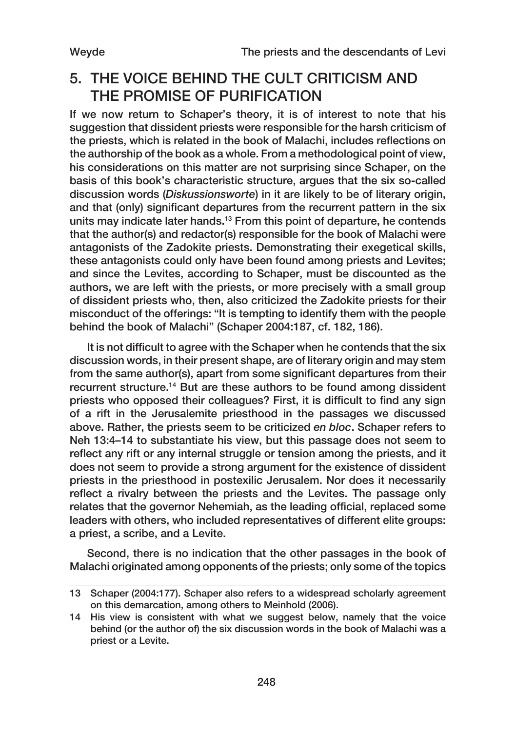## 5. THE VOICE BEHIND THE CULT CRITICISM AND THE PROMISE OF PURIFICATION

If we now return to Schaper's theory, it is of interest to note that his suggestion that dissident priests were responsible for the harsh criticism of the priests, which is related in the book of Malachi, includes reflections on the authorship of the book as a whole. From a methodological point of view, his considerations on this matter are not surprising since Schaper, on the basis of this book's characteristic structure, argues that the six so-called discussion words (*Diskussionsworte*) in it are likely to be of literary origin, and that (only) significant departures from the recurrent pattern in the six units may indicate later hands.13 From this point of departure, he contends that the author(s) and redactor(s) responsible for the book of Malachi were antagonists of the Zadokite priests. Demonstrating their exegetical skills, these antagonists could only have been found among priests and Levites; and since the Levites, according to Schaper, must be discounted as the authors, we are left with the priests, or more precisely with a small group of dissident priests who, then, also criticized the Zadokite priests for their misconduct of the offerings: "It is tempting to identify them with the people behind the book of Malachi" (Schaper 2004:187, cf. 182, 186).

It is not difficult to agree with the Schaper when he contends that the six discussion words, in their present shape, are of literary origin and may stem from the same author(s), apart from some significant departures from their recurrent structure.14 But are these authors to be found among dissident priests who opposed their colleagues? First, it is difficult to find any sign of a rift in the Jerusalemite priesthood in the passages we discussed above. Rather, the priests seem to be criticized *en bloc*. Schaper refers to Neh 13:4–14 to substantiate his view, but this passage does not seem to reflect any rift or any internal struggle or tension among the priests, and it does not seem to provide a strong argument for the existence of dissident priests in the priesthood in postexilic Jerusalem. Nor does it necessarily reflect a rivalry between the priests and the Levites. The passage only relates that the governor Nehemiah, as the leading official, replaced some leaders with others, who included representatives of different elite groups: a priest, a scribe, and a Levite.

Second, there is no indication that the other passages in the book of Malachi originated among opponents of the priests; only some of the topics

<sup>13</sup> Schaper (2004:177). Schaper also refers to a widespread scholarly agreement on this demarcation, among others to Meinhold (2006).

<sup>14</sup> His view is consistent with what we suggest below, namely that the voice behind (or the author of) the six discussion words in the book of Malachi was a priest or a Levite.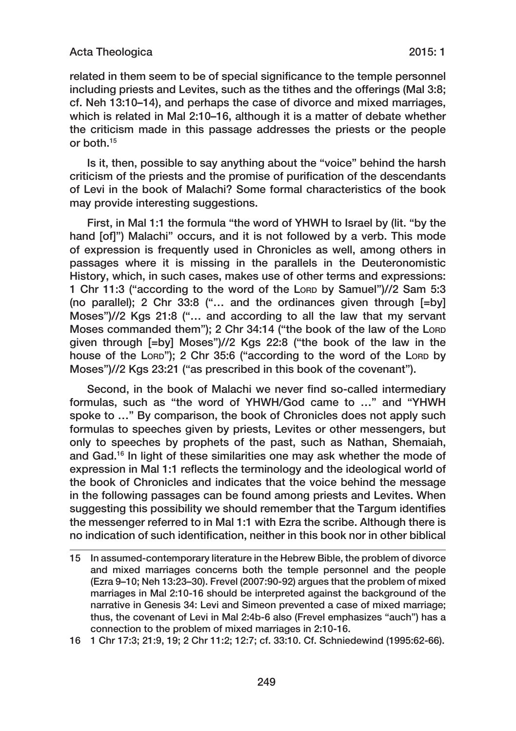#### Acta Theologica 2015: 1

related in them seem to be of special significance to the temple personnel including priests and Levites, such as the tithes and the offerings (Mal 3:8; cf. Neh 13:10–14), and perhaps the case of divorce and mixed marriages, which is related in Mal 2:10–16, although it is a matter of debate whether the criticism made in this passage addresses the priests or the people or both.15

Is it, then, possible to say anything about the "voice" behind the harsh criticism of the priests and the promise of purification of the descendants of Levi in the book of Malachi? Some formal characteristics of the book may provide interesting suggestions.

First, in Mal 1:1 the formula "the word of YHWH to Israel by (lit. "by the hand [of]") Malachi" occurs, and it is not followed by a verb. This mode of expression is frequently used in Chronicles as well, among others in passages where it is missing in the parallels in the Deuteronomistic History, which, in such cases, makes use of other terms and expressions: 1 Chr 11:3 ("according to the word of the Lorp by Samuel")//2 Sam 5:3 (no parallel); 2 Chr 33:8 ("… and the ordinances given through [=by] Moses")//2 Kgs 21:8 ("… and according to all the law that my servant Moses commanded them"); 2 Chr 34:14 ("the book of the law of the Lord given through [=by] Moses")//2 Kgs 22:8 ("the book of the law in the house of the Lorp"); 2 Chr 35:6 ("according to the word of the Lorp by Moses")//2 Kgs 23:21 ("as prescribed in this book of the covenant").

Second, in the book of Malachi we never find so-called intermediary formulas, such as "the word of YHWH/God came to …" and "YHWH spoke to …" By comparison, the book of Chronicles does not apply such formulas to speeches given by priests, Levites or other messengers, but only to speeches by prophets of the past, such as Nathan, Shemaiah, and Gad.16 In light of these similarities one may ask whether the mode of expression in Mal 1:1 reflects the terminology and the ideological world of the book of Chronicles and indicates that the voice behind the message in the following passages can be found among priests and Levites. When suggesting this possibility we should remember that the Targum identifies the messenger referred to in Mal 1:1 with Ezra the scribe. Although there is no indication of such identification, neither in this book nor in other biblical

<sup>15</sup> In assumed‑contemporary literature in the Hebrew Bible, the problem of divorce and mixed marriages concerns both the temple personnel and the people (Ezra 9–10; Neh 13:23–30). Frevel (2007:90‑92) argues that the problem of mixed marriages in Mal 2:10-16 should be interpreted against the background of the narrative in Genesis 34: Levi and Simeon prevented a case of mixed marriage; thus, the covenant of Levi in Mal 2:4b‑6 also (Frevel emphasizes "auch") has a connection to the problem of mixed marriages in 2:10‑16.

<sup>16</sup> 1 Chr 17:3; 21:9, 19; 2 Chr 11:2; 12:7; cf. 33:10. Cf. Schniedewind (1995:62‑66).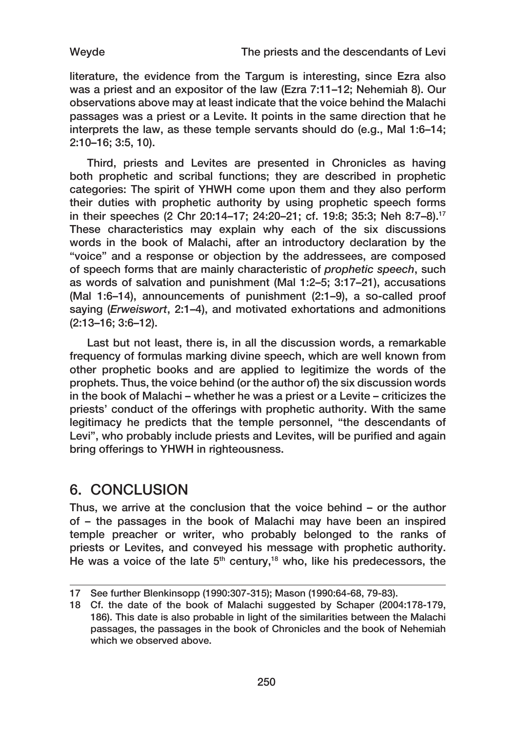literature, the evidence from the Targum is interesting, since Ezra also was a priest and an expositor of the law (Ezra 7:11–12; Nehemiah 8). Our observations above may at least indicate that the voice behind the Malachi passages was a priest or a Levite. It points in the same direction that he interprets the law, as these temple servants should do (e.g., Mal 1:6–14; 2:10–16; 3:5, 10).

Third, priests and Levites are presented in Chronicles as having both prophetic and scribal functions; they are described in prophetic categories: The spirit of YHWH come upon them and they also perform their duties with prophetic authority by using prophetic speech forms in their speeches (2 Chr 20:14–17; 24:20–21; cf. 19:8; 35:3; Neh 8:7–8).17 These characteristics may explain why each of the six discussions words in the book of Malachi, after an introductory declaration by the "voice" and a response or objection by the addressees, are composed of speech forms that are mainly characteristic of *prophetic speech*, such as words of salvation and punishment (Mal 1:2–5; 3:17–21), accusations (Mal  $1:6-14$ ), announcements of punishment  $(2:1-9)$ , a so-called proof saying (*Erweiswort*, 2:1–4), and motivated exhortations and admonitions (2:13–16; 3:6–12).

Last but not least, there is, in all the discussion words, a remarkable frequency of formulas marking divine speech, which are well known from other prophetic books and are applied to legitimize the words of the prophets. Thus, the voice behind (or the author of) the six discussion words in the book of Malachi – whether he was a priest or a Levite – criticizes the priests' conduct of the offerings with prophetic authority. With the same legitimacy he predicts that the temple personnel, "the descendants of Levi", who probably include priests and Levites, will be purified and again bring offerings to YHWH in righteousness.

## 6. CONCLUSION

Thus, we arrive at the conclusion that the voice behind – or the author of – the passages in the book of Malachi may have been an inspired temple preacher or writer, who probably belonged to the ranks of priests or Levites, and conveyed his message with prophetic authority. He was a voice of the late  $5<sup>th</sup>$  century,<sup>18</sup> who, like his predecessors, the

<sup>17</sup> See further Blenkinsopp (1990:307‑315); Mason (1990:64‑68, 79‑83).

<sup>18</sup> Cf. the date of the book of Malachi suggested by Schaper (2004:178-179, 186). This date is also probable in light of the similarities between the Malachi passages, the passages in the book of Chronicles and the book of Nehemiah which we observed above.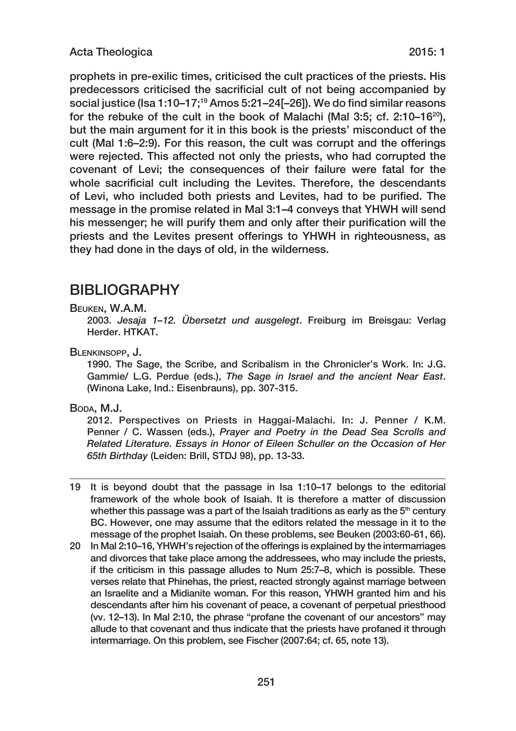### Acta Theologica 2015: 1

prophets in pre‑exilic times, criticised the cult practices of the priests. His predecessors criticised the sacrificial cult of not being accompanied by social justice (Isa 1:10–17;19 Amos 5:21–24[–26]). We do find similar reasons for the rebuke of the cult in the book of Malachi (Mal 3:5; cf. 2:10–1620), but the main argument for it in this book is the priests' misconduct of the cult (Mal 1:6–2:9). For this reason, the cult was corrupt and the offerings were rejected. This affected not only the priests, who had corrupted the covenant of Levi; the consequences of their failure were fatal for the whole sacrificial cult including the Levites. Therefore, the descendants of Levi, who included both priests and Levites, had to be purified. The message in the promise related in Mal 3:1–4 conveys that YHWH will send his messenger; he will purify them and only after their purification will the priests and the Levites present offerings to YHWH in righteousness, as they had done in the days of old, in the wilderness.

## **BIBLIOGRAPHY**

#### Beuken, W.A.M.

2003. *Jesaja 1–12. Übersetzt und ausgelegt*. Freiburg im Breisgau: Verlag Herder. HTKAT.

#### Blenkinsopp, J.

1990. The Sage, the Scribe, and Scribalism in the Chronicler's Work. In: J.G. Gammie/ L.G. Perdue (eds.), *The Sage in Israel and the ancient Near East*. (Winona Lake, Ind.: Eisenbrauns), pp. 307-315.

#### Bona, M.J.

2012. Perspectives on Priests in Haggai-Malachi. In: J. Penner / K.M. Penner / C. Wassen (eds.), *Prayer and Poetry in the Dead Sea Scrolls and Related Literature. Essays in Honor of Eileen Schuller on the Occasion of Her 65th Birthday* (Leiden: Brill, STDJ 98), pp. 13‑33.

19 It is beyond doubt that the passage in Isa 1:10–17 belongs to the editorial framework of the whole book of Isaiah. It is therefore a matter of discussion whether this passage was a part of the Isaiah traditions as early as the  $5<sup>th</sup>$  century BC. However, one may assume that the editors related the message in it to the message of the prophet Isaiah. On these problems, see Beuken (2003:60‑61, 66).

20 In Mal 2:10–16, YHWH's rejection of the offerings is explained by the intermarriages and divorces that take place among the addressees, who may include the priests, if the criticism in this passage alludes to Num 25:7–8, which is possible. These verses relate that Phinehas, the priest, reacted strongly against marriage between an Israelite and a Midianite woman. For this reason, YHWH granted him and his descendants after him his covenant of peace, a covenant of perpetual priesthood (vv. 12–13). In Mal 2:10, the phrase "profane the covenant of our ancestors" may allude to that covenant and thus indicate that the priests have profaned it through intermarriage. On this problem, see Fischer (2007:64; cf. 65, note 13).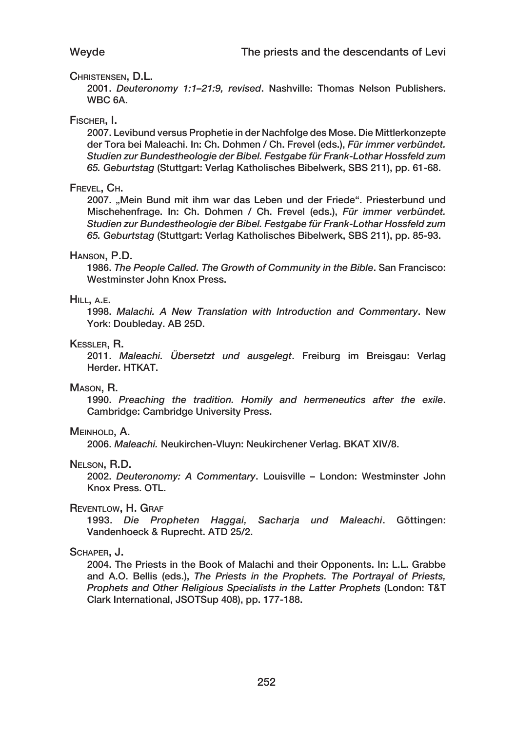#### Christensen, D.L.

2001. *Deuteronomy 1:1–21:9, revised*. Nashville: Thomas Nelson Publishers. WBC 6A.

#### Fischer, I.

2007. Levibund versus Prophetie in der Nachfolge des Mose. Die Mittlerkonzepte der Tora bei Maleachi. In: Ch. Dohmen / Ch. Frevel (eds.), *Für immer verbündet. Studien zur Bundestheologie der Bibel. Festgabe für Frank‑Lothar Hossfeld zum 65. Geburtstag* (Stuttgart: Verlag Katholisches Bibelwerk, SBS 211), pp. 61‑68.

#### Frevel, Ch.

2007. "Mein Bund mit ihm war das Leben und der Friede". Priesterbund und Mischehenfrage. In: Ch. Dohmen / Ch. Frevel (eds.), *Für immer verbündet. Studien zur Bundestheologie der Bibel. Festgabe für Frank‑Lothar Hossfeld zum 65. Geburtstag* (Stuttgart: Verlag Katholisches Bibelwerk, SBS 211), pp. 85‑93.

#### Hanson, P.D.

1986. *The People Called. The Growth of Community in the Bible*. San Francisco: Westminster John Knox Press.

#### HILL, A.E.

1998. *Malachi. A New Translation with Introduction and Commentary*. New York: Doubleday. AB 25D.

#### Kessler, R.

2011. *Maleachi. Übersetzt und ausgelegt*. Freiburg im Breisgau: Verlag Herder. HTKAT.

#### Mason, R.

1990. *Preaching the tradition. Homily and hermeneutics after the exile*. Cambridge: Cambridge University Press.

#### MEINHOLD, A.

2006. *Maleachi.* Neukirchen‑Vluyn: Neukirchener Verlag. BKAT XIV/8.

#### Nelson, R.D.

2002. *Deuteronomy: A Commentary*. Louisville – London: Westminster John Knox Press. OTL.

#### Reventlow, H. Graf

1993. *Die Propheten Haggai, Sacharja und Maleachi*. Göttingen: Vandenhoeck & Ruprecht. ATD 25/2.

#### SCHAPER, **J.**

2004. The Priests in the Book of Malachi and their Opponents. In: L.L. Grabbe and A.O. Bellis (eds.), *The Priests in the Prophets. The Portrayal of Priests, Prophets and Other Religious Specialists in the Latter Prophets* (London: T&T Clark International, JSOTSup 408), pp. 177‑188.